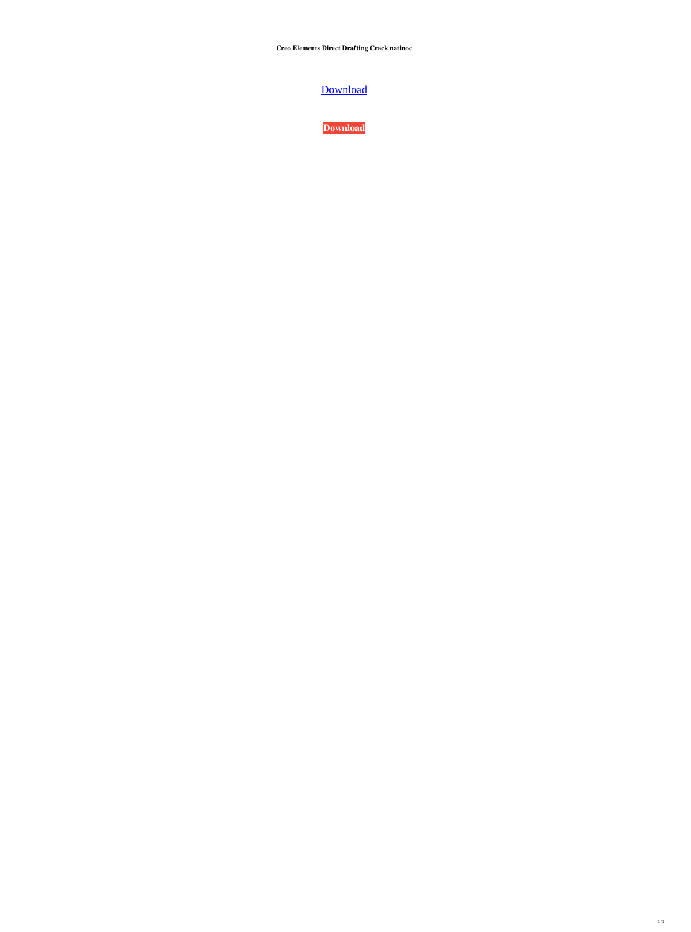**Creo Elements Direct Drafting Crack natinoc**

[Download](http://evacdir.com/breezeway.encloses?coddled=meditators&hoas=ZG93bmxvYWR8cWI4TVhkMU5YeDhNVFkxTWpRMk16QTFNSHg4TWpVM05IeDhLRTBwSUhKbFlXUXRZbXh2WnlCYlJtRnpkQ0JIUlU1ZA/meze/Y3JlbyBlbGVtZW50cyBkaXJlY3QgZHJhZnRpbmcgY3JhY2sY3J.rosemary)

**[Download](http://evacdir.com/breezeway.encloses?coddled=meditators&hoas=ZG93bmxvYWR8cWI4TVhkMU5YeDhNVFkxTWpRMk16QTFNSHg4TWpVM05IeDhLRTBwSUhKbFlXUXRZbXh2WnlCYlJtRnpkQ0JIUlU1ZA/meze/Y3JlbyBlbGVtZW50cyBkaXJlY3QgZHJhZnRpbmcgY3JhY2sY3J.rosemary)**